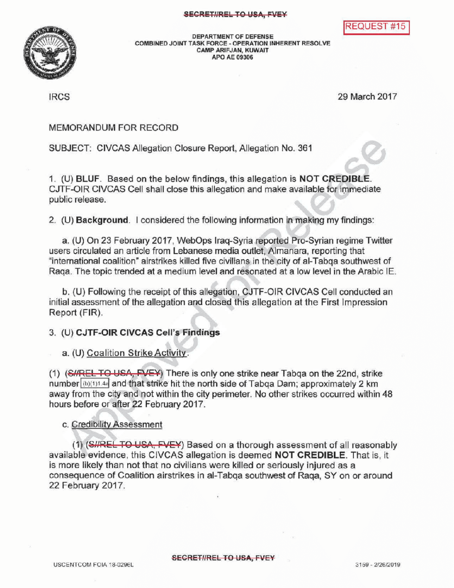



DEPARTMENT OF DEFENSE<br>COMBINED JOINT TASK FORCE - OPERATION INHERENT RESOLVE CAMP ARIFJAN, KUWAIT APOAE 09306

IRCS 29 March 2017

## MEMORANDUM FOR RECORD

SUBJECT: CIVCAS Allegation Closure Report, Allegation No. 361

1. (U) BLUF. Based on the below findings, this allegation is NOT CREDIBLE. CJTF-OIR CIVCAS Cell shall close this allegation and make available for immediate public release.

2. (U) Background. I considered the following information in making my findings:

a. (U) On 23 February 2017, WebOps Iraq-Syria reported Pro-Syrian regime Twitter users circulated an article from Lebanese media outlet, Almanara, reporting that "international coalition" airstrikes killed five civilians in the city of al-Tabqa southwest of Raqa. The topic trended at a medium leveland resonated at a low level in the Arabic IE.

b. (U) Following the receipt of this allegation, CJTF-OIR CIVCAS Cell conducted an initial assessment of the allegation and closed this allegation at the First Impression Report (FIR) .

## 3. (U) CJTF-OIR CIVCAS Cell's Findings

a. (U) Coalition Strike Activity.

(1) (SHRELTO USA, FVEY) There is only one strike near Tabqa on the 22nd, strike number  $(\mathbf{b})(1)$ 1.44 and that strike hit the north side of Tabga Dam; approximately 2 km away from the city and not within the city perimeter. No other strikes occurred within 48 hours before or after 22 February 2017.

### c. Credibility Assessment

(1) (SHREL TO USA, FVEY) Based on a thorough assessment of all reasonably available evidence, this CIVCAS allegation is deemed NOT CREDIBLE. That is, it is more likely than not that no civilians were killed or seriously injured as a consequence of Coalition airstrikes in al- Tabqa southwest of Raqa, SY on or around 22 February 2017.